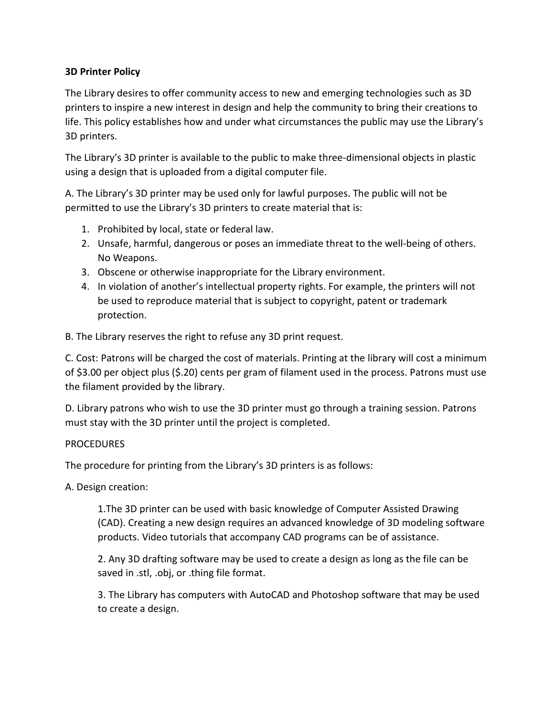## **3D Printer Policy**

The Library desires to offer community access to new and emerging technologies such as 3D printers to inspire a new interest in design and help the community to bring their creations to life. This policy establishes how and under what circumstances the public may use the Library's 3D printers.

The Library's 3D printer is available to the public to make three-dimensional objects in plastic using a design that is uploaded from a digital computer file.

A. The Library's 3D printer may be used only for lawful purposes. The public will not be permitted to use the Library's 3D printers to create material that is:

- 1. Prohibited by local, state or federal law.
- 2. Unsafe, harmful, dangerous or poses an immediate threat to the well-being of others. No Weapons.
- 3. Obscene or otherwise inappropriate for the Library environment.
- 4. In violation of another's intellectual property rights. For example, the printers will not be used to reproduce material that is subject to copyright, patent or trademark protection.
- B. The Library reserves the right to refuse any 3D print request.

C. Cost: Patrons will be charged the cost of materials. Printing at the library will cost a minimum of \$3.00 per object plus (\$.20) cents per gram of filament used in the process. Patrons must use the filament provided by the library.

D. Library patrons who wish to use the 3D printer must go through a training session. Patrons must stay with the 3D printer until the project is completed.

## PROCEDURES

The procedure for printing from the Library's 3D printers is as follows:

A. Design creation:

1.The 3D printer can be used with basic knowledge of Computer Assisted Drawing (CAD). Creating a new design requires an advanced knowledge of 3D modeling software products. Video tutorials that accompany CAD programs can be of assistance.

2. Any 3D drafting software may be used to create a design as long as the file can be saved in .stl, .obj, or .thing file format.

3. The Library has computers with AutoCAD and Photoshop software that may be used to create a design.